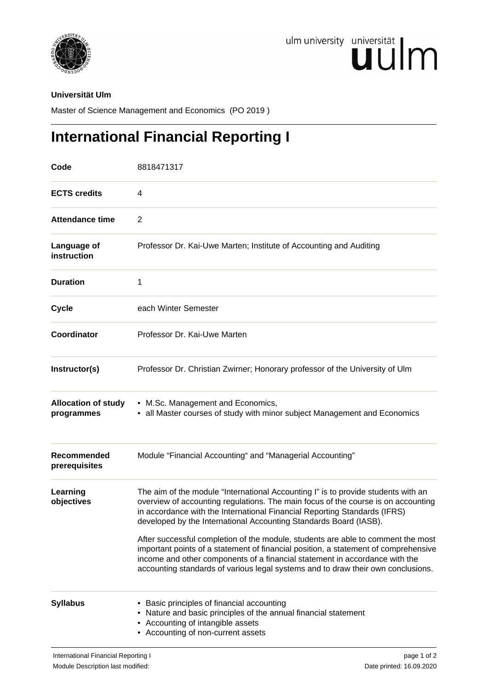

## **Universität Ulm**

Master of Science Management and Economics (PO 2019 )

## **International Financial Reporting I**

| Code                                     | 8818471317                                                                                                                                                                                                                                                                                                                                                                                                                                                                                                                                                                                                                                                             |
|------------------------------------------|------------------------------------------------------------------------------------------------------------------------------------------------------------------------------------------------------------------------------------------------------------------------------------------------------------------------------------------------------------------------------------------------------------------------------------------------------------------------------------------------------------------------------------------------------------------------------------------------------------------------------------------------------------------------|
| <b>ECTS credits</b>                      | 4                                                                                                                                                                                                                                                                                                                                                                                                                                                                                                                                                                                                                                                                      |
| <b>Attendance time</b>                   | 2                                                                                                                                                                                                                                                                                                                                                                                                                                                                                                                                                                                                                                                                      |
| Language of<br>instruction               | Professor Dr. Kai-Uwe Marten; Institute of Accounting and Auditing                                                                                                                                                                                                                                                                                                                                                                                                                                                                                                                                                                                                     |
| <b>Duration</b>                          | 1                                                                                                                                                                                                                                                                                                                                                                                                                                                                                                                                                                                                                                                                      |
| <b>Cycle</b>                             | each Winter Semester                                                                                                                                                                                                                                                                                                                                                                                                                                                                                                                                                                                                                                                   |
| Coordinator                              | Professor Dr. Kai-Uwe Marten                                                                                                                                                                                                                                                                                                                                                                                                                                                                                                                                                                                                                                           |
| Instructor(s)                            | Professor Dr. Christian Zwirner; Honorary professor of the University of Ulm                                                                                                                                                                                                                                                                                                                                                                                                                                                                                                                                                                                           |
| <b>Allocation of study</b><br>programmes | • M.Sc. Management and Economics,<br>• all Master courses of study with minor subject Management and Economics                                                                                                                                                                                                                                                                                                                                                                                                                                                                                                                                                         |
| Recommended<br>prerequisites             | Module "Financial Accounting" and "Managerial Accounting"                                                                                                                                                                                                                                                                                                                                                                                                                                                                                                                                                                                                              |
| Learning<br>objectives                   | The aim of the module "International Accounting I" is to provide students with an<br>overview of accounting regulations. The main focus of the course is on accounting<br>in accordance with the International Financial Reporting Standards (IFRS)<br>developed by the International Accounting Standards Board (IASB).<br>After successful completion of the module, students are able to comment the most<br>important points of a statement of financial position, a statement of comprehensive<br>income and other components of a financial statement in accordance with the<br>accounting standards of various legal systems and to draw their own conclusions. |
| <b>Syllabus</b>                          | • Basic principles of financial accounting<br>• Nature and basic principles of the annual financial statement<br>• Accounting of intangible assets<br>• Accounting of non-current assets                                                                                                                                                                                                                                                                                                                                                                                                                                                                               |